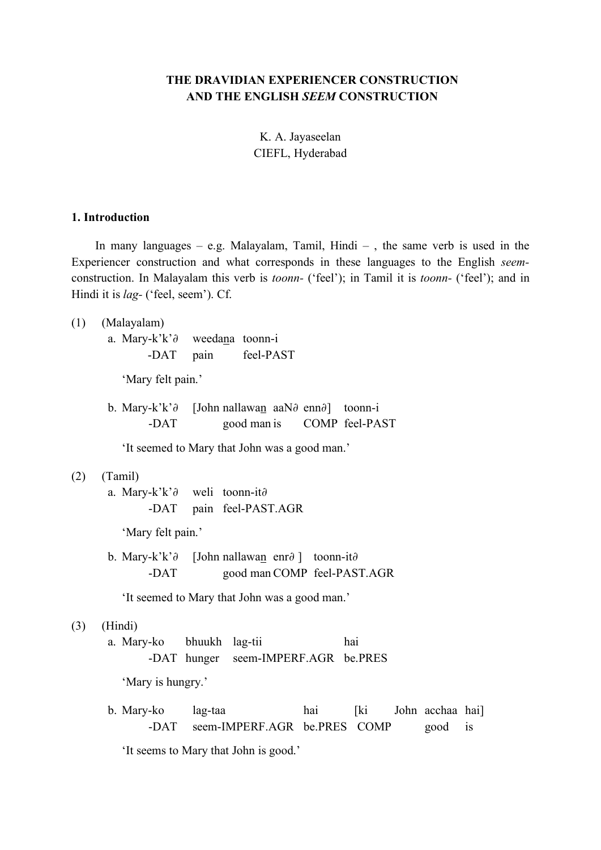# **THE DRAVIDIAN EXPERIENCER CONSTRUCTION AND THE ENGLISH** *SEEM* **CONSTRUCTION**

K. A. Jayaseelan CIEFL, Hyderabad

### **1. Introduction**

In many languages – e.g. Malayalam, Tamil, Hindi –, the same verb is used in the Experiencer construction and what corresponds in these languages to the English *seem*construction. In Malayalam this verb is *toonn-* ('feel'); in Tamil it is *toonn-* ('feel'); and in Hindi it is *lag-* ('feel, seem'). Cf.

(1) (Malayalam)

a. Mary-k'k'∂ weedana toonn-i -DAT pain feel-PAST

'Mary felt pain.'

b. Mary-k'k'∂ [John nallawan aaN∂ enn∂] toonn-i -DAT good man is COMP feel-PAST

'It seemed to Mary that John was a good man.'

#### (2) (Tamil)

a. Mary-k'k'∂ weli toonn-it∂ -DAT pain feel-PAST.AGR

'Mary felt pain.'

b. Mary-k'k'∂ [John nallawan enr∂ ] toonn-it∂ -DAT good man COMP feel-PAST.AGR

'It seemed to Mary that John was a good man.'

(3) (Hindi)

a. Mary-ko bhuukh lag-tii hai -DAT hunger seem-IMPERF.AGR be.PRES

'Mary is hungry.'

b. Mary-ko lag-taa hai [ki John acchaa hai] -DAT seem-IMPERF.AGR be.PRES COMP good is

'It seems to Mary that John is good.'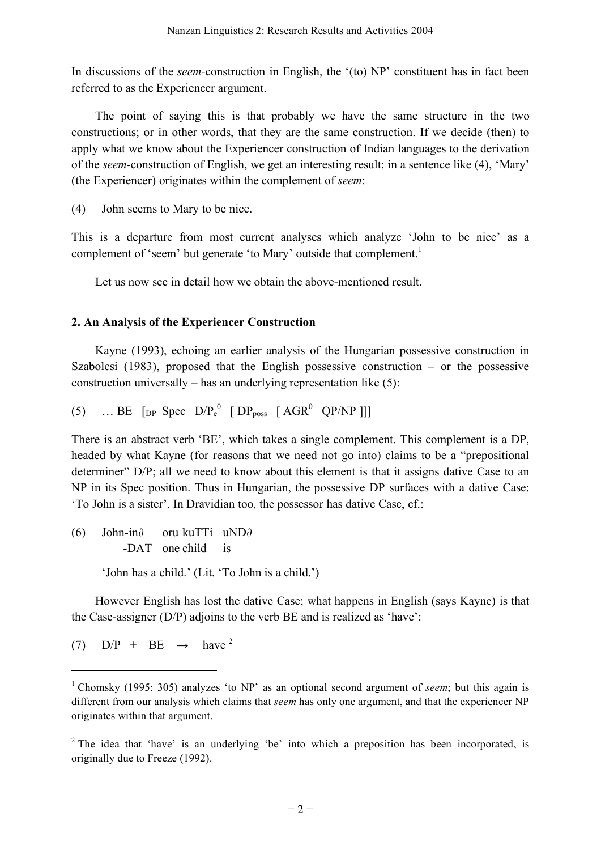In discussions of the *seem-*construction in English, the '(to) NP' constituent has in fact been referred to as the Experiencer argument.

The point of saying this is that probably we have the same structure in the two constructions; or in other words, that they are the same construction. If we decide (then) to apply what we know about the Experiencer construction of Indian languages to the derivation of the *seem-*construction of English, we get an interesting result: in a sentence like (4), 'Mary' (the Experiencer) originates within the complement of *seem*:

(4) John seems to Mary to be nice.

This is a departure from most current analyses which analyze 'John to be nice' as a complement of 'seem' but generate 'to Mary' outside that complement.<sup>1</sup>

Let us now see in detail how we obtain the above-mentioned result.

# **2. An Analysis of the Experiencer Construction**

Kayne (1993), echoing an earlier analysis of the Hungarian possessive construction in Szabolcsi (1983), proposed that the English possessive construction – or the possessive construction universally – has an underlying representation like (5):

(5) … BE  $[pP \text{ Spec } D/P_e^0 \text{ [DP}_{poss } [AGR^0 \text{ QP/NP ]}]]$ 

There is an abstract verb 'BE', which takes a single complement. This complement is a DP, headed by what Kayne (for reasons that we need not go into) claims to be a "prepositional determiner" D/P; all we need to know about this element is that it assigns dative Case to an NP in its Spec position. Thus in Hungarian, the possessive DP surfaces with a dative Case: 'To John is a sister'. In Dravidian too, the possessor has dative Case, cf.:

(6) John-in∂ oru kuTTi uND∂ -DAT one child is 'John has a child.' (Lit. 'To John is a child.')

However English has lost the dative Case; what happens in English (says Kayne) is that the Case-assigner (D/P) adjoins to the verb BE and is realized as 'have':

(7)  $D/P + BE \rightarrow have^2$ 

l

<sup>1</sup> Chomsky (1995: 305) analyzes 'to NP' as an optional second argument of *seem*; but this again is different from our analysis which claims that *seem* has only one argument, and that the experiencer NP originates within that argument.

<sup>&</sup>lt;sup>2</sup> The idea that 'have' is an underlying 'be' into which a preposition has been incorporated, is originally due to Freeze (1992).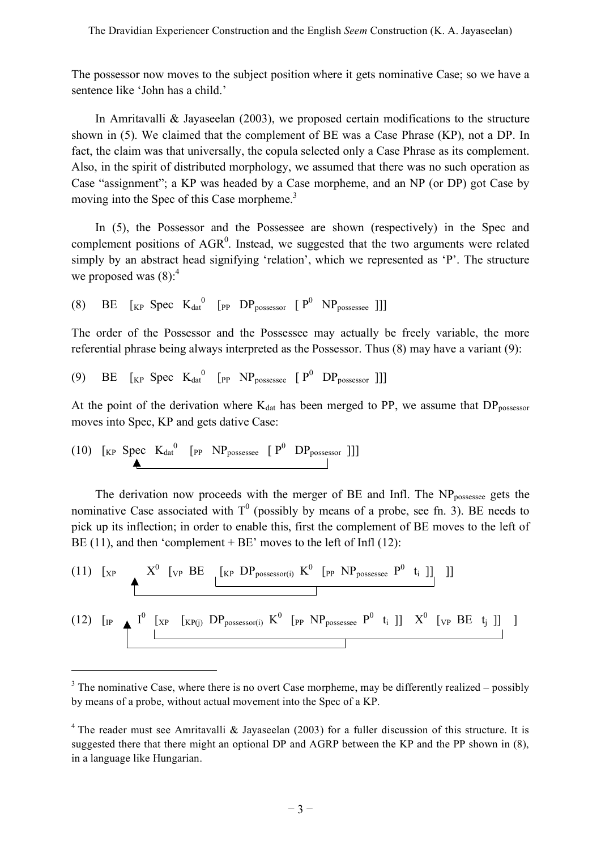The possessor now moves to the subject position where it gets nominative Case; so we have a sentence like 'John has a child.'

In Amritavalli  $\&$  Jayaseelan (2003), we proposed certain modifications to the structure shown in (5). We claimed that the complement of BE was a Case Phrase (KP), not a DP. In fact, the claim was that universally, the copula selected only a Case Phrase as its complement. Also, in the spirit of distributed morphology, we assumed that there was no such operation as Case "assignment"; a KP was headed by a Case morpheme, and an NP (or DP) got Case by moving into the Spec of this Case morpheme.<sup>3</sup>

In (5), the Possessor and the Possessee are shown (respectively) in the Spec and complement positions of  $AGR<sup>0</sup>$ . Instead, we suggested that the two arguments were related simply by an abstract head signifying 'relation', which we represented as 'P'. The structure we proposed was  $(8)$ :<sup>4</sup>

(8) BE  $\begin{bmatrix} KP \end{bmatrix}$  Spec  $K_{dat}^{0}$  [PP DP<sub>possessor</sub>  $\begin{bmatrix} P^0 \end{bmatrix}$  NP<sub>possessee</sub> ]]

The order of the Possessor and the Possessee may actually be freely variable, the more referential phrase being always interpreted as the Possessor. Thus (8) may have a variant (9):

(9) BE  $\begin{bmatrix}K_P \text{Spec } K_{\text{dat}}^0 & \begin{bmatrix}P & NP_{\text{possesse }} P^0 & DP_{\text{possessor }}\end{bmatrix}\end{bmatrix}$ 

At the point of the derivation where  $K_{dat}$  has been merged to PP, we assume that  $DP_{possessor}$ moves into Spec, KP and gets dative Case:

$$
(10) \quad [ \text{kp} \quad \text{Spec} \quad K_{\text{dat}}^0 \quad [ \text{pp} \quad \text{NP}_{\text{possesse}} \quad [ \quad P^0 \quad \text{DP}_{\text{possessor}} \quad ] ] ]
$$

l

The derivation now proceeds with the merger of  $BE$  and Infl. The  $NP<sub>possesse</sub>$  gets the nominative Case associated with  $T^0$  (possibly by means of a probe, see fn. 3). BE needs to pick up its inflection; in order to enable this, first the complement of BE moves to the left of BE (11), and then 'complement + BE' moves to the left of Infl (12):

(11) 
$$
\begin{bmatrix} x^p & X^0 \ [v^p \ B E \ [k^p \ D P_{\text{possessor}(i)} \ K^0 \ [p^p \ N P_{\text{possesse}} \ P^0 \ t_i]] \end{bmatrix}
$$
]]\n(12) 
$$
\begin{bmatrix} 1^p & \begin{bmatrix} x^p & [x^p(i) \ D P_{\text{possessor}(i)} \ K^0 \ [p^p \ N P_{\text{possesse}} \ P^0 \ t_i]] \end{bmatrix} \ X^0 \ [v^p \ B E \ t_j]] \end{bmatrix}
$$

 $3$  The nominative Case, where there is no overt Case morpheme, may be differently realized – possibly by means of a probe, without actual movement into the Spec of a KP.

<sup>&</sup>lt;sup>4</sup> The reader must see Amritavalli & Jayaseelan (2003) for a fuller discussion of this structure. It is suggested there that there might an optional DP and AGRP between the KP and the PP shown in (8), in a language like Hungarian.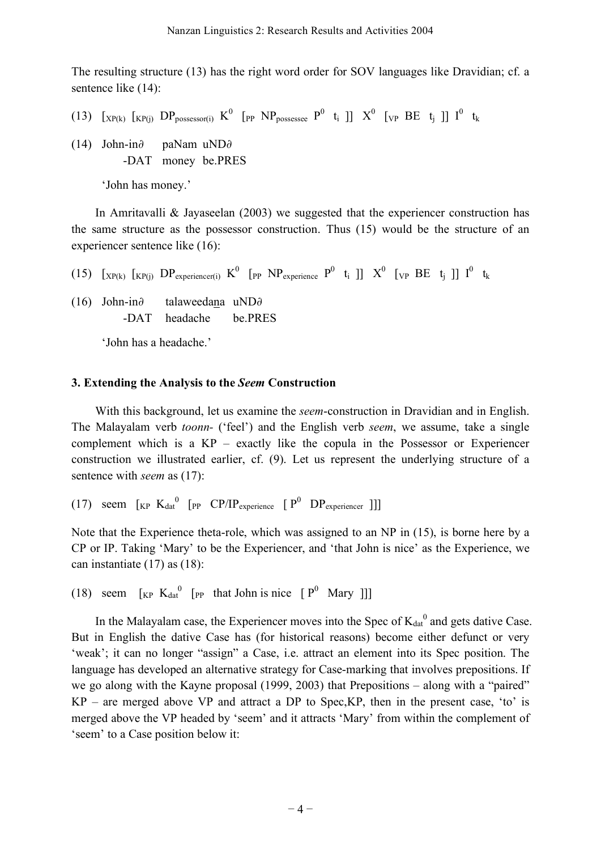The resulting structure (13) has the right word order for SOV languages like Dravidian; cf. a sentence like  $(14)$ :

- (13)  $\left[\chi_{P(k)}\right]$   $\left[\chi_{P(j)}\right]$   $DP_{possessor(i)}$   $K^0$   $\left[\text{p}_P$   $NP_{possesse}$   $P^0$   $t_i$  ]]  $X^0$   $\left[\text{v}_P$   $BE$   $t_j$  ]]  $I^0$   $t_k$
- (14) John-in∂ paNam uND∂ -DAT money be.PRES

'John has money.'

In Amritavalli & Jayaseelan (2003) we suggested that the experiencer construction has the same structure as the possessor construction. Thus (15) would be the structure of an experiencer sentence like (16):

(15)  $\left[\chi_{P(k)}\right]$   $\left[\chi_{P(j)}\right]$   $DP_{\text{experiment (i)}}$   $K^0$   $\left[\text{p}_P$   $NP_{\text{experiment (i)}}$   $P^0$   $t_i$   $\left[\right]$   $X^0$   $\left[\text{v}_P$   $BE$   $t_j$   $\right]$   $I^0$   $t_k$ 

(16) John-in∂ talaweedana uND∂ -DAT headache be.PRES

'John has a headache.'

### **3. Extending the Analysis to the** *Seem* **Construction**

With this background, let us examine the *seem*-construction in Dravidian and in English. The Malayalam verb *toonn-* ('feel') and the English verb *seem*, we assume, take a single complement which is a KP – exactly like the copula in the Possessor or Experiencer construction we illustrated earlier, cf. (9). Let us represent the underlying structure of a sentence with *seem* as (17):

(17) seem  $\begin{bmatrix} K_P & K_{dat}^0 \end{bmatrix}$  [PP CP/IP<sub>experience</sub>  $\begin{bmatrix} P^0 & DP_{experiencer} \end{bmatrix}$ ]]

Note that the Experience theta-role, which was assigned to an NP in (15), is borne here by a CP or IP. Taking 'Mary' to be the Experiencer, and 'that John is nice' as the Experience, we can instantiate (17) as (18):

(18) seem  $\begin{bmatrix} K_P & K_{dat}^0 \end{bmatrix}$  [<sub>PP</sub> that John is nice  $\begin{bmatrix} P^0 & Mary \end{bmatrix}$ ]]

In the Malayalam case, the Experiencer moves into the Spec of  $K_{dat}^0$  and gets dative Case. But in English the dative Case has (for historical reasons) become either defunct or very 'weak'; it can no longer "assign" a Case, i.e. attract an element into its Spec position. The language has developed an alternative strategy for Case-marking that involves prepositions. If we go along with the Kayne proposal (1999, 2003) that Prepositions – along with a "paired"  $KP$  – are merged above VP and attract a DP to Spec, KP, then in the present case, 'to' is merged above the VP headed by 'seem' and it attracts 'Mary' from within the complement of 'seem' to a Case position below it: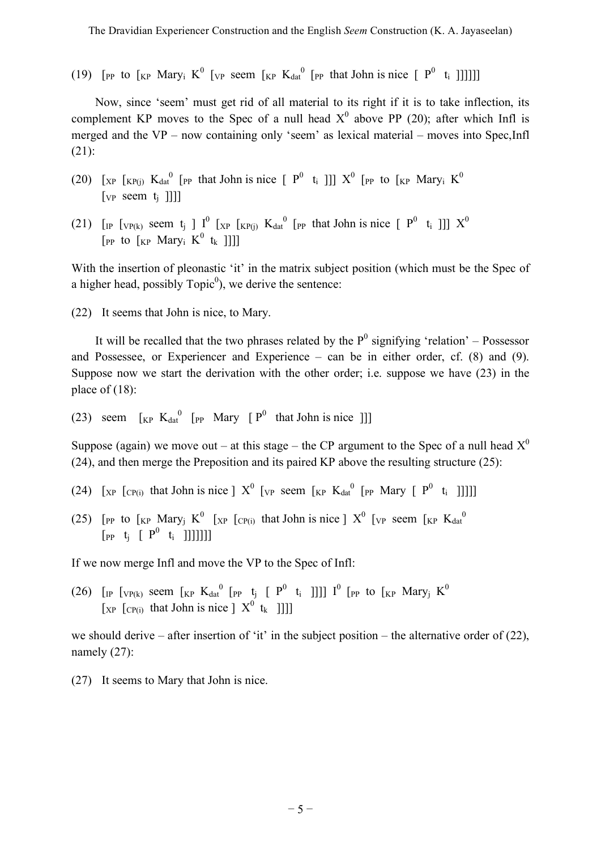(19) [PP to  $\begin{bmatrix} \text{KP} & \text{Mary}_i \end{bmatrix}$   $K^0$  [vp seem  $\begin{bmatrix} K^p & K_{dat} \end{bmatrix}$  [PP that John is nice  $\begin{bmatrix} P^0 & t_i \end{bmatrix}$ ]]]]]

Now, since 'seem' must get rid of all material to its right if it is to take inflection, its complement KP moves to the Spec of a null head  $X^0$  above PP (20); after which Infl is merged and the VP – now containing only 'seem' as lexical material – moves into Spec,Infl (21):

- (20) [ $_{XP}$  [ $_{KP(j)}$  K<sub>dat</sub><sup>0</sup> [ $_{PP}$  that John is nice [ $P^0$  t<sub>i</sub>]]]  $X^0$  [ $_{PP}$  to [ $_{KP}$  Mary<sub>i</sub> K<sup>0</sup>  $[vP]$  seem  $t_i$  ]]]]
- (21) [IP [VP(k) seem t<sub>j</sub> ]  $I^0$  [XP [KP(j)  $K_{dat}^{0}$  [PP that John is nice [ P<sup>0</sup> t<sub>i</sub> ]]]  $X^0$ [PP to  $\begin{bmatrix} K_P \end{bmatrix}$  Mary<sub>i</sub>  $K^0$  t<sub>k</sub> ]]]]

With the insertion of pleonastic 'it' in the matrix subject position (which must be the Spec of a higher head, possibly  $Topic<sup>0</sup>$ , we derive the sentence:

(22) It seems that John is nice, to Mary.

It will be recalled that the two phrases related by the  $P^0$  signifying 'relation' – Possessor and Possessee, or Experiencer and Experience – can be in either order, cf.  $(8)$  and  $(9)$ . Suppose now we start the derivation with the other order; i.e. suppose we have (23) in the place of (18):

(23) seem  $\begin{bmatrix}K_P & K_{dat}^0 & [P_P & Mary \ [P^0 & that John is nice \end{bmatrix}$ 

Suppose (again) we move out – at this stage – the CP argument to the Spec of a null head  $X^0$ (24), and then merge the Preposition and its paired KP above the resulting structure (25):

- (24) [ $_{XP}$  [ $_{CP(i)}$  that John is nice ]  $X^0$  [ $_{VP}$  seem [ $_{KP}$  K<sub>dat</sub><sup>0</sup> [ $_{PP}$  Mary [  $P^0$  t<sub>i</sub> ]]]]]
- (25) [PP to  $\begin{bmatrix}K \\ kP\end{bmatrix}$  Mary<sub>j</sub> K<sup>0</sup> [ $\begin{bmatrix}X \\ YP\end{bmatrix}$  [ $\begin{bmatrix}C \\ P(i)\end{bmatrix}$  that John is nice ]  $X^0$  [ $\begin{bmatrix}V \\ YP\end{bmatrix}$  seem  $\begin{bmatrix}K \\ K\end{bmatrix}$   $\begin{bmatrix}K \\ YP\end{bmatrix}$  $[p_{P} \ t_{i} \ \lceil \ P^{0} \ t_{i} \ \lceil \ \lceil \}$

If we now merge Infl and move the VP to the Spec of Infl:

(26) [IP [VP(k) seem [KP  $K_{dat}^{0}$  [PP t<sub>j</sub> [  $P^0$  t<sub>i</sub> ]]]]  $I^0$  [PP to [KP Mary<sub>j</sub>  $K^0$  $\begin{bmatrix} \n\chi_{\text{P}} & \n\chi_{\text{P}} & \n\chi_{\text{P}} & \n\chi_{\text{P}} & \n\chi_{\text{P}} & \n\chi_{\text{P}} & \n\chi_{\text{P}} & \n\chi_{\text{P}} & \n\chi_{\text{P}} & \n\chi_{\text{P}} & \n\chi_{\text{P}} & \n\chi_{\text{P}} & \n\chi_{\text{P}} & \n\chi_{\text{P}} & \n\chi_{\text{P}} & \n\chi_{\text{P}} & \n\chi_{\text{P}} & \n\chi_{\text{P}} & \n\chi_{\text{P}} & \n\chi_{$ 

we should derive – after insertion of 'it' in the subject position – the alternative order of  $(22)$ , namely (27):

(27) It seems to Mary that John is nice.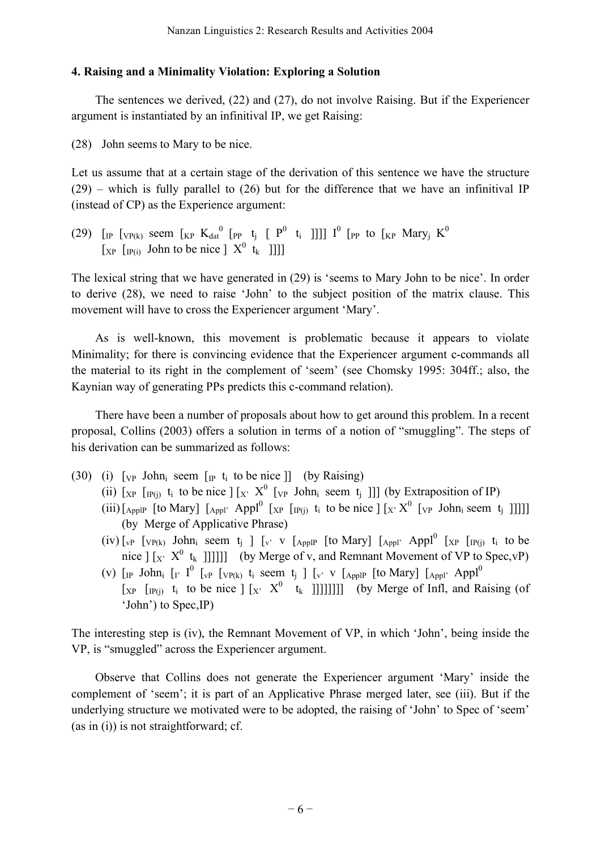## **4. Raising and a Minimality Violation: Exploring a Solution**

The sentences we derived, (22) and (27), do not involve Raising. But if the Experiencer argument is instantiated by an infinitival IP, we get Raising:

(28) John seems to Mary to be nice.

Let us assume that at a certain stage of the derivation of this sentence we have the structure  $(29)$  – which is fully parallel to  $(26)$  but for the difference that we have an infinitival IP (instead of CP) as the Experience argument:

(29) [IP  $[VP(K)$  seem  $[KP K_{dat}^{0} [PP t_j [P^0 t_i ]]]] I^{0} [PP t_0 [KP Mary_j K^{0}]$  $\begin{bmatrix} x_P & \text{[p(i)]} \\ \text{John} & \text{To} \end{bmatrix}$  Define  $\begin{bmatrix} X^0 & t_k \\ \text{I} & \text{O} \end{bmatrix}$ 

The lexical string that we have generated in (29) is 'seems to Mary John to be nice'. In order to derive (28), we need to raise 'John' to the subject position of the matrix clause. This movement will have to cross the Experiencer argument 'Mary'.

As is well-known, this movement is problematic because it appears to violate Minimality; for there is convincing evidence that the Experiencer argument c-commands all the material to its right in the complement of 'seem' (see Chomsky 1995: 304ff.; also, the Kaynian way of generating PPs predicts this c-command relation).

There have been a number of proposals about how to get around this problem. In a recent proposal, Collins (2003) offers a solution in terms of a notion of "smuggling". The steps of his derivation can be summarized as follows:

- (30) (i)  $\lceil v \rceil$  John<sub>i</sub> seem  $\lceil \rceil p \rceil t_i$  to be nice  $\lceil \rceil$  (by Raising)
	- (ii)  $[x_{P}$   $[y_{P(j)}]$  t<sub>i</sub> to be nice  $[y_{P}(X)]$   $[y_{P}(Y_{P(k)})]$  [v<sub>P</sub> John<sub>i</sub> seem t<sub>i</sub> ]]] (by Extraposition of IP)
	- (iii)[ $_{\text{Apply}}$  [to Mary]  $\left[ \begin{array}{cc} \text{Apply} & \text{Apply} \\ \text{Apply} & \text{Apply} \end{array} \right]$  [ $_{\text{NP}}$ ]  $\left[ \begin{array}{cc} \text{Input} & \text{by} \\ \text{Input} & \text{by} \end{array} \right]$  [ $_{\text{Y}}$   $\times$   $\mathcal{X}^0$  [ $_{\text{VP}}$  John<sub>i</sub> seem t<sub>i</sub> ]]]]] (by Merge of Applicative Phrase)
	- (iv)  $\begin{bmatrix} v_P \end{bmatrix}$   $\begin{bmatrix} v_{P(k)} \end{bmatrix}$  John<sub>i</sub> seem t<sub>i</sub>  $\begin{bmatrix} v' & v \end{bmatrix}$   $\begin{bmatrix} \begin{bmatrix} \text{Appl} \end{bmatrix}$   $\begin{bmatrix} \begin{bmatrix} \text{Appl} \end{bmatrix}$   $\begin{bmatrix} \text{Appl} \end{bmatrix}$   $\begin{bmatrix} \begin{bmatrix} \text{xp} \end{bmatrix}$   $\begin{bmatrix} \begin{bmatrix} \text{xp} \end{bmatrix} \end{bmatrix}$  ti to be nice  $\left[\begin{array}{cc} x & X^0 & t_k \end{array}\right]$ ]]]]] (by Merge of v, and Remnant Movement of VP to Spec, vP)
	- (v)  $\lbrack$  [IP John<sub>i</sub>  $\lbrack$  [ $\lbrack$ <sup>0</sup>  $\lbrack$   $\lbrack$   $\vee$   $\lbrack$   $\vee$  [ $\lbrack$   $\vee$   $\lbrack$   $\rbrack$   $\lbrack$   $\vee$   $\lbrack$   $\vee$   $\lbrack$   $\rbrack$   $\lbrack$   $\rbrack$   $\lbrack$   $\vee$   $\lbrack$   $\rbrack$   $\rbrack$   $\lbrack$   $\rbrack$   $\rbrack$   $\rbrack$   $\rbrack$   $\rbrack$  $[xP \ [IP(i)] \ t_i$  to be nice  $] [x \ X^0 \ t_k ]]]]]]]]$  (by Merge of Infl, and Raising (of 'John') to Spec,IP)

The interesting step is (iv), the Remnant Movement of VP, in which 'John', being inside the VP, is "smuggled" across the Experiencer argument.

Observe that Collins does not generate the Experiencer argument 'Mary' inside the complement of 'seem'; it is part of an Applicative Phrase merged later, see (iii). But if the underlying structure we motivated were to be adopted, the raising of 'John' to Spec of 'seem' (as in (i)) is not straightforward; cf.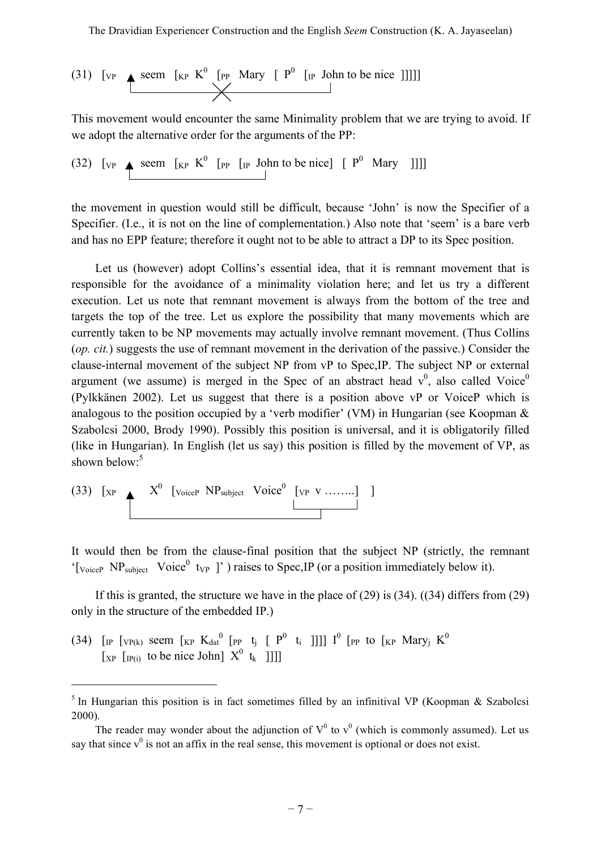(31) [VP 
$$
\xrightarrow{\text{seem [kP K}^0 \text{ [PP } \text{Mary } [ P^0 \text{ [IP } \text{John to be nice ]]]]]}
$$

This movement would encounter the same Minimality problem that we are trying to avoid. If we adopt the alternative order for the arguments of the PP:

(32)  $\begin{bmatrix} \n\text{V}_P \quad \text{seem} \quad [\text{KP} \quad \text{K}^0 \quad [\text{PP} \quad [\text{IP} \quad \text{John to be nice}] \quad [\quad P^0 \quad \text{Mary} \quad ] ] ] ]\n\end{bmatrix}$ 

the movement in question would still be difficult, because 'John' is now the Specifier of a Specifier. (I.e., it is not on the line of complementation.) Also note that 'seem' is a bare verb and has no EPP feature; therefore it ought not to be able to attract a DP to its Spec position.

Let us (however) adopt Collins's essential idea, that it is remnant movement that is responsible for the avoidance of a minimality violation here; and let us try a different execution. Let us note that remnant movement is always from the bottom of the tree and targets the top of the tree. Let us explore the possibility that many movements which are currently taken to be NP movements may actually involve remnant movement. (Thus Collins (*op. cit.*) suggests the use of remnant movement in the derivation of the passive.) Consider the clause-internal movement of the subject NP from vP to Spec,IP. The subject NP or external argument (we assume) is merged in the Spec of an abstract head  $v^0$ , also called Voice<sup>0</sup> (Pylkkänen 2002). Let us suggest that there is a position above vP or VoiceP which is analogous to the position occupied by a 'verb modifier' (VM) in Hungarian (see Koopman & Szabolcsi 2000, Brody 1990). Possibly this position is universal, and it is obligatorily filled (like in Hungarian). In English (let us say) this position is filled by the movement of VP, as shown below:<sup>5</sup>

$$
(33) [XP \t X0 [voiceP NPsubject Voice0 [vp v .......]
$$
 ]

l

It would then be from the clause-final position that the subject NP (strictly, the remnant '[VoiceP NP<sub>subject</sub> Voice<sup>0</sup> t<sub>VP</sub>]' ) raises to Spec, IP (or a position immediately below it).

If this is granted, the structure we have in the place of (29) is (34). ((34) differs from (29) only in the structure of the embedded IP.)

(34) [IP  $[VP(k)]$  seem  $[KP K_{dat}^{0} [PP t_j [P^0 t_i ]]]]$   $I^{0}$  [PP to  $[KP \text{ Mary}_j K^{0}]$  $\begin{bmatrix} x_P & \text{[IP(i)} \end{bmatrix}$  to be nice John]  $X^0$  t<sub>k</sub> ]]]]

 $5$  In Hungarian this position is in fact sometimes filled by an infinitival VP (Koopman & Szabolcsi 2000).

The reader may wonder about the adjunction of  $V^0$  to  $v^0$  (which is commonly assumed). Let us say that since  $v^0$  is not an affix in the real sense, this movement is optional or does not exist.